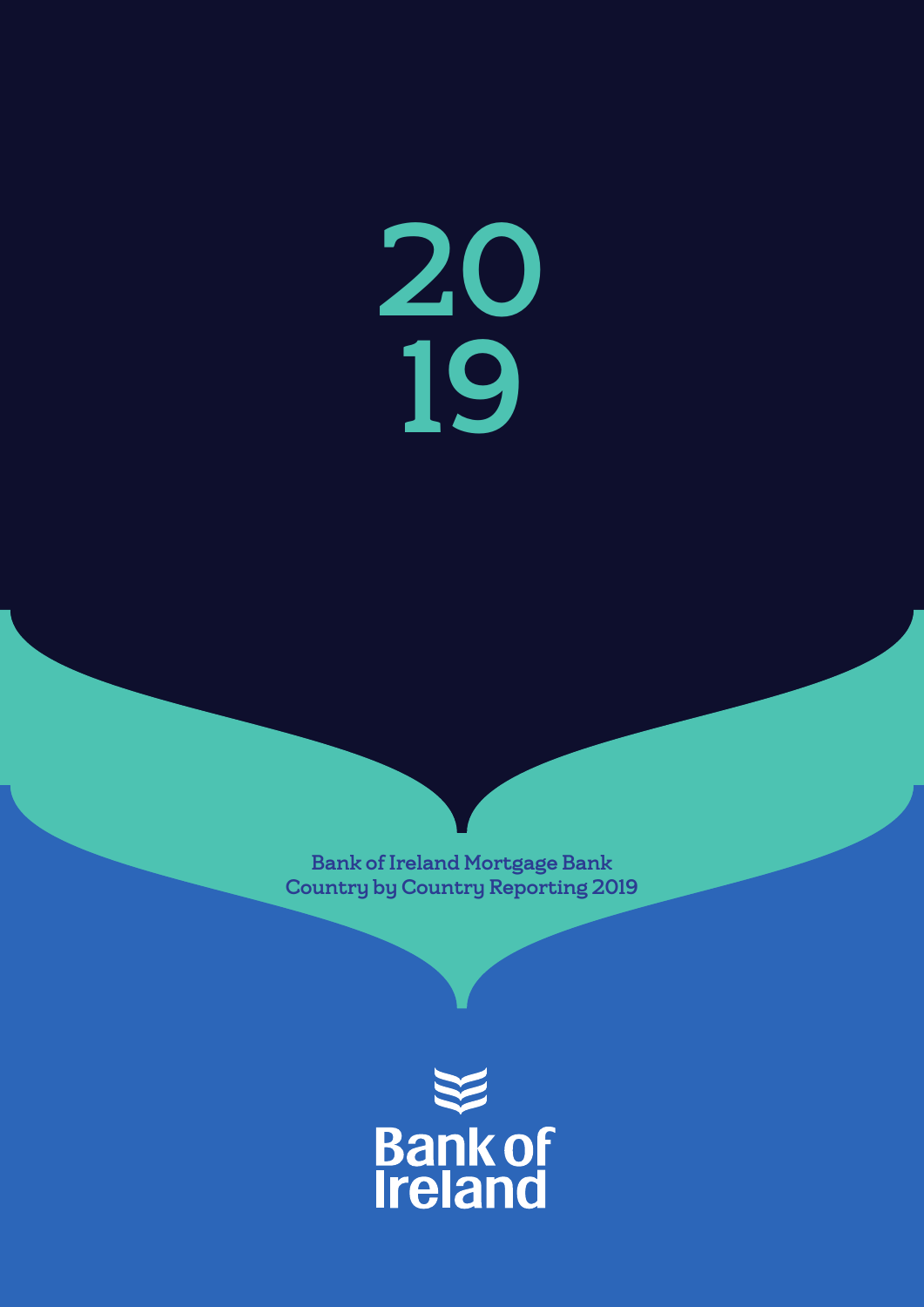20 19

Bank of Ireland Mortgage Bank Country by Country Reporting 2019

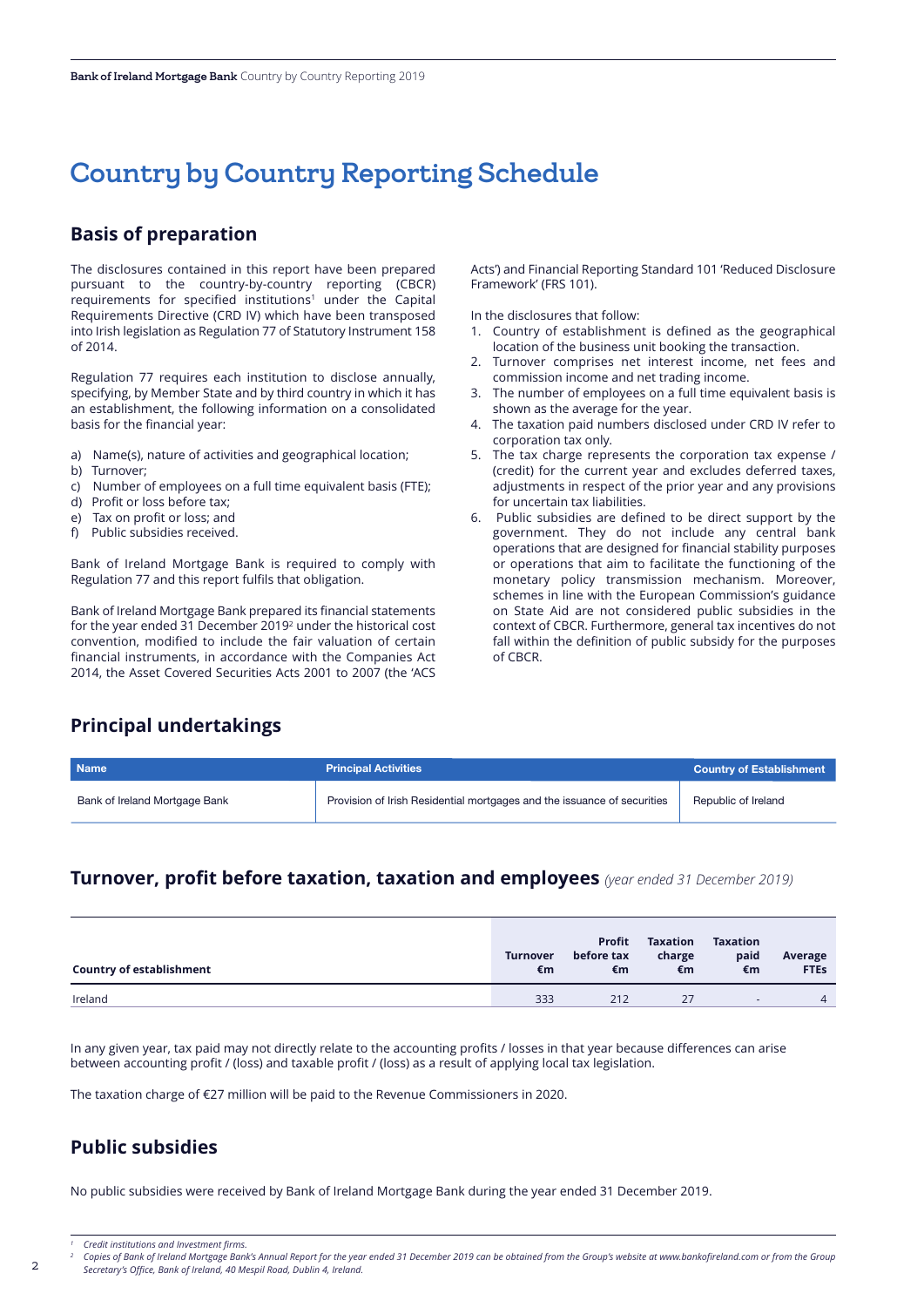# Country by Country Reporting Schedule

### **Basis of preparation**

The disclosures contained in this report have been prepared pursuant to the country-by-country reporting (CBCR) requirements for specified institutions<sup>1</sup> under the Capital Requirements Directive (CRD IV) which have been transposed into Irish legislation as Regulation 77 of Statutory Instrument 158 of 2014.

Regulation 77 requires each institution to disclose annually, specifying, by Member State and by third country in which it has an establishment, the following information on a consolidated basis for the financial year:

- a) Name(s), nature of activities and geographical location;
- b) Turnover;
- c) Number of employees on a full time equivalent basis (FTE);
- d) Profit or loss before tax;
- e) Tax on profit or loss; and
- f) Public subsidies received.

Bank of Ireland Mortgage Bank is required to comply with Regulation 77 and this report fulfils that obligation.

Bank of Ireland Mortgage Bank prepared its financial statements for the year ended 31 December 20192 under the historical cost convention, modified to include the fair valuation of certain financial instruments, in accordance with the Companies Act 2014, the Asset Covered Securities Acts 2001 to 2007 (the 'ACS Acts') and Financial Reporting Standard 101 'Reduced Disclosure Framework' (FRS 101).

In the disclosures that follow:

- 1. Country of establishment is defined as the geographical location of the business unit booking the transaction.
- 2. Turnover comprises net interest income, net fees and commission income and net trading income.
- 3. The number of employees on a full time equivalent basis is shown as the average for the year.
- 4. The taxation paid numbers disclosed under CRD IV refer to corporation tax only.
- 5. The tax charge represents the corporation tax expense / (credit) for the current year and excludes deferred taxes, adjustments in respect of the prior year and any provisions for uncertain tax liabilities.
- 6. Public subsidies are defined to be direct support by the government. They do not include any central bank operations that are designed for financial stability purposes or operations that aim to facilitate the functioning of the monetary policy transmission mechanism. Moreover, schemes in line with the European Commission's guidance on State Aid are not considered public subsidies in the context of CBCR. Furthermore, general tax incentives do not fall within the definition of public subsidy for the purposes of CBCR.

### **Principal undertakings**

| <b>Name</b>                   | <b>Principal Activities</b>                                             | <b>Country of Establishment</b> |
|-------------------------------|-------------------------------------------------------------------------|---------------------------------|
| Bank of Ireland Mortgage Bank | Provision of Irish Residential mortgages and the issuance of securities | Republic of Ireland             |

## **Turnover, profit before taxation, taxation and employees** *(year ended 31 December 2019)*

| <b>Country of establishment</b> | <b>Turnover</b><br>€m | <b>Profit</b><br>before tax<br>€m | <b>Taxation</b><br>charge<br>€m | <b>Taxation</b><br>paid<br>€m | Average<br><b>FTES</b> |
|---------------------------------|-----------------------|-----------------------------------|---------------------------------|-------------------------------|------------------------|
| Ireland                         | 333                   | 212                               | 27                              | <b>Sept.</b>                  | $\overline{4}$         |

In any given year, tax paid may not directly relate to the accounting profits / losses in that year because differences can arise between accounting profit / (loss) and taxable profit / (loss) as a result of applying local tax legislation.

The taxation charge of €27 million will be paid to the Revenue Commissioners in 2020.

# **Public subsidies**

No public subsidies were received by Bank of Ireland Mortgage Bank during the year ended 31 December 2019.

*<sup>1</sup> Credit institutions and Investment firms.*

Copies of Bank of Ireland Mortgage Bank's Annual Report for the year ended 31 December 2019 can be obtained from the Group's website at www.bankofireland.com or from the Group *Secretary's Office, Bank of Ireland, 40 Mespil Road, Dublin 4, Ireland.*